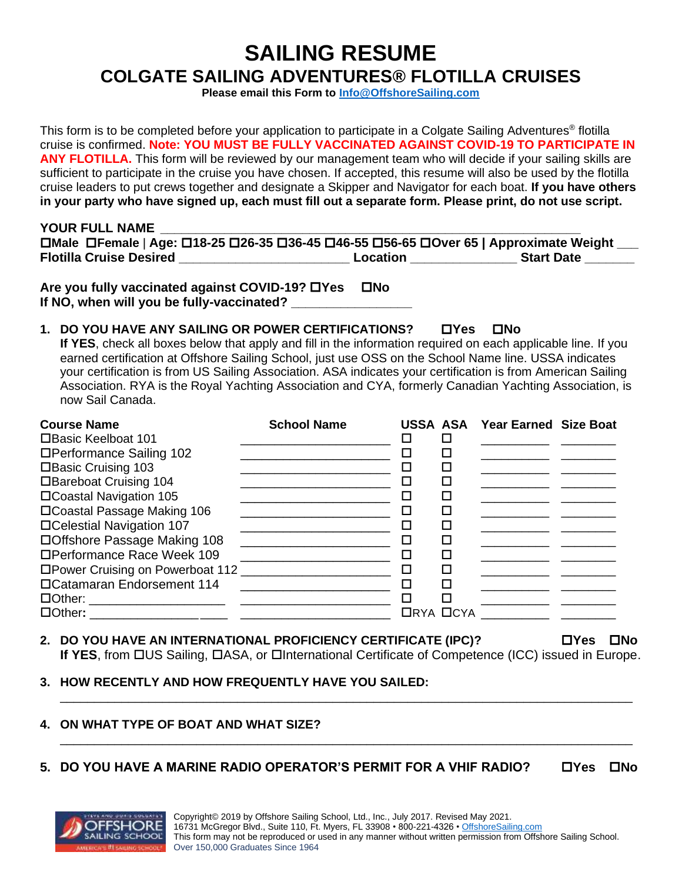# **SAILING RESUME COLGATE SAILING ADVENTURES® FLOTILLA CRUISES**

**Please email this Form to [Info@OffshoreSailing.com](file://///os-fs1-v/Shared%20Data/Master%20Resume%20&%20Information%20Forms%202017-2019/Flotillas%20Only/Info@OffshoreSailing.com)**

This form is to be completed before your application to participate in a Colgate Sailing Adventures® flotilla cruise is confirmed. **Note: YOU MUST BE FULLY VACCINATED AGAINST COVID-19 TO PARTICIPATE IN**  ANY FLOTILLA. This form will be reviewed by our management team who will decide if your sailing skills are sufficient to participate in the cruise you have chosen. If accepted, this resume will also be used by the flotilla cruise leaders to put crews together and designate a Skipper and Navigator for each boat. **If you have others in your party who have signed up, each must fill out a separate form. Please print, do not use script.** 

| YOUR FULL NAME                                                                        |          |                   |
|---------------------------------------------------------------------------------------|----------|-------------------|
| □Male □Female   Age: □18-25 □26-35 □36-45 □46-55 □56-65 □Over 65   Approximate Weight |          |                   |
| <b>Flotilla Cruise Desired</b>                                                        | Location | <b>Start Date</b> |

**Are you fully vaccinated against COVID-19? Yes No** If NO, when will you be fully-vaccinated?

# **1. DO YOU HAVE ANY SAILING OR POWER CERTIFICATIONS? Yes No**

**If YES**, check all boxes below that apply and fill in the information required on each applicable line. If you earned certification at Offshore Sailing School, just use OSS on the School Name line. USSA indicates your certification is from US Sailing Association. ASA indicates your certification is from American Sailing Association. RYA is the Royal Yachting Association and CYA, formerly Canadian Yachting Association, is now Sail Canada.

| <b>Course Name</b>               | <b>School Name</b> |   |   | <b>USSA ASA Year Earned Size Boat</b> |  |
|----------------------------------|--------------------|---|---|---------------------------------------|--|
| □Basic Keelboat 101              |                    |   |   |                                       |  |
| □Performance Sailing 102         |                    |   |   |                                       |  |
| □Basic Cruising 103              |                    |   |   |                                       |  |
| □Bareboat Cruising 104           |                    |   |   |                                       |  |
| □Coastal Navigation 105          |                    |   |   |                                       |  |
| □Coastal Passage Making 106      |                    |   |   |                                       |  |
| □Celestial Navigation 107        |                    |   |   |                                       |  |
| □Offshore Passage Making 108     |                    |   |   |                                       |  |
| □Performance Race Week 109       |                    |   |   |                                       |  |
| □Power Cruising on Powerboat 112 |                    | □ |   |                                       |  |
| □Catamaran Endorsement 114       |                    |   |   |                                       |  |
|                                  |                    |   | П |                                       |  |
|                                  |                    |   |   | $\Box$ RYA $\Box$ CYA $\Box$          |  |

# **2. DO YOU HAVE AN INTERNATIONAL PROFICIENCY CERTIFICATE (IPC)? Yes No**

If YES, from **CHO**S Sailing, CHASA, or Chiternational Certificate of Competence (ICC) issued in Europe.

\_\_\_\_\_\_\_\_\_\_\_\_\_\_\_\_\_\_\_\_\_\_\_\_\_\_\_\_\_\_\_\_\_\_\_\_\_\_\_\_\_\_\_\_\_\_\_\_\_\_\_\_\_\_\_\_\_\_\_\_\_\_\_\_\_\_\_\_\_\_\_\_\_\_\_\_\_\_\_\_\_\_\_\_

\_\_\_\_\_\_\_\_\_\_\_\_\_\_\_\_\_\_\_\_\_\_\_\_\_\_\_\_\_\_\_\_\_\_\_\_\_\_\_\_\_\_\_\_\_\_\_\_\_\_\_\_\_\_\_\_\_\_\_\_\_\_\_\_\_\_\_\_\_\_\_\_\_\_\_\_\_\_\_\_\_\_\_\_

#### **3. HOW RECENTLY AND HOW FREQUENTLY HAVE YOU SAILED:**

#### **4. ON WHAT TYPE OF BOAT AND WHAT SIZE?**

#### **5. DO YOU HAVE A MARINE RADIO OPERATOR'S PERMIT FOR A VHIF RADIO? Yes No**

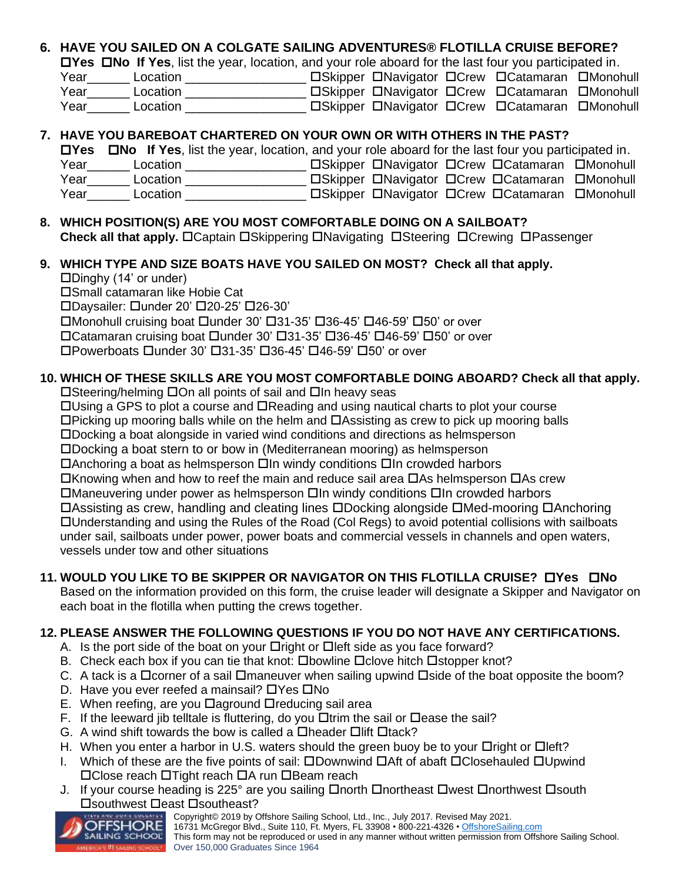# **6. HAVE YOU SAILED ON A COLGATE SAILING ADVENTURES® FLOTILLA CRUISE BEFORE?**

**Yes No If Yes**, list the year, location, and your role aboard for the last four you participated in.

| Year | Location | □Skipper □Navigator □Crew □Catamaran □Monohull |  |
|------|----------|------------------------------------------------|--|
| Year | Location | □Skipper □Navigator □Crew □Catamaran □Monohull |  |
| Year | Location | □Skipper □Navigator □Crew □Catamaran □Monohull |  |

#### **7. HAVE YOU BAREBOAT CHARTERED ON YOUR OWN OR WITH OTHERS IN THE PAST?**

**Yes No If Yes**, list the year, location, and your role aboard for the last four you participated in.

| Year | Location | □Skipper □Navigator □Crew □Catamaran □Monohull |  |
|------|----------|------------------------------------------------|--|
| Year | Location | □Skipper □Navigator □Crew □Catamaran □Monohull |  |
| Year | Location | □Skipper □Navigator □Crew □Catamaran □Monohull |  |

#### **8. WHICH POSITION(S) ARE YOU MOST COMFORTABLE DOING ON A SAILBOAT? Check all that apply.** OCaptain OSkippering ONavigating OSteering OCrewing OPassenger

# **9. WHICH TYPE AND SIZE BOATS HAVE YOU SAILED ON MOST? Check all that apply.**

#### $\Box$ Dinghy (14' or under)

Small catamaran like Hobie Cat

DDaysailer: Dunder 20' 020-25' 026-30'

 $\Box$ Monohull cruising boat  $\Box$ under 30'  $\Box$ 31-35'  $\Box$ 36-45'  $\Box$ 46-59'  $\Box$ 50' or over

 $\Box$ Catamaran cruising boat  $\Box$ under 30'  $\Box$ 31-35'  $\Box$ 36-45'  $\Box$ 46-59'  $\Box$ 50' or over

Powerboats under 30' 31-35' 36-45' 46-59' 50' or over

# **10. WHICH OF THESE SKILLS ARE YOU MOST COMFORTABLE DOING ABOARD? Check all that apply.**

 $\square$ Steering/helming  $\square$ On all points of sail and  $\square$ In heavy seas

 $\Box$ Using a GPS to plot a course and  $\Box$ Reading and using nautical charts to plot your course

 $\Box$ Picking up mooring balls while on the helm and  $\Box$ Assisting as crew to pick up mooring balls

Docking a boat alongside in varied wind conditions and directions as helmsperson

Docking a boat stern to or bow in (Mediterranean mooring) as helmsperson

 $\Box$ Anchoring a boat as helmsperson  $\Box$ In windy conditions  $\Box$ In crowded harbors

 $\Box$ Knowing when and how to reef the main and reduce sail area  $\Box$ As helmsperson  $\Box$ As crew

 $\Box$ Maneuvering under power as helmsperson  $\Box$ In windy conditions  $\Box$ In crowded harbors

 $\Box$ Assisting as crew, handling and cleating lines  $\Box$ Docking alongside  $\Box$ Med-mooring  $\Box$ Anchoring Understanding and using the Rules of the Road (Col Regs) to avoid potential collisions with sailboats under sail, sailboats under power, power boats and commercial vessels in channels and open waters, vessels under tow and other situations

# **11. WOULD YOU LIKE TO BE SKIPPER OR NAVIGATOR ON THIS FLOTILLA CRUISE? Yes No**

Based on the information provided on this form, the cruise leader will designate a Skipper and Navigator on each boat in the flotilla when putting the crews together.

# **12. PLEASE ANSWER THE FOLLOWING QUESTIONS IF YOU DO NOT HAVE ANY CERTIFICATIONS.**

- A. Is the port side of the boat on your  $\Box$ right or  $\Box$  left side as you face forward?
- B. Check each box if you can tie that knot:  $\square$  bowline  $\square$  clove hitch  $\square$  stopper knot?
- C. A tack is a  $\Box$  corner of a sail  $\Box$  maneuver when sailing upwind  $\Box$  side of the boat opposite the boom?
- D. Have you ever reefed a mainsail?  $\Box$  Yes  $\Box$  No
- E. When reefing, are you  $\Box$ aground  $\Box$ reducing sail area
- F. If the leeward jib telltale is fluttering, do you  $\Box$  trim the sail or  $\Box$  ease the sail?
- G. A wind shift towards the bow is called a  $\Box$ header  $\Box$ lift  $\Box$ tack?
- H. When you enter a harbor in U.S. waters should the green buoy be to your  $\Box$ right or  $\Box$ left?
- I. Which of these are the five points of sail:  $\square$ Downwind  $\square$ Aft of abaft  $\square$ Closehauled  $\square$ Upwind  $\Box$ Close reach  $\Box$ Tight reach  $\Box$ A run  $\Box$ Beam reach
- J. If your course heading is 225° are you sailing  $\Box$  north  $\Box$  northeast  $\Box$  west  $\Box$  northwest  $\Box$  south **□**southwest □east □southeast?